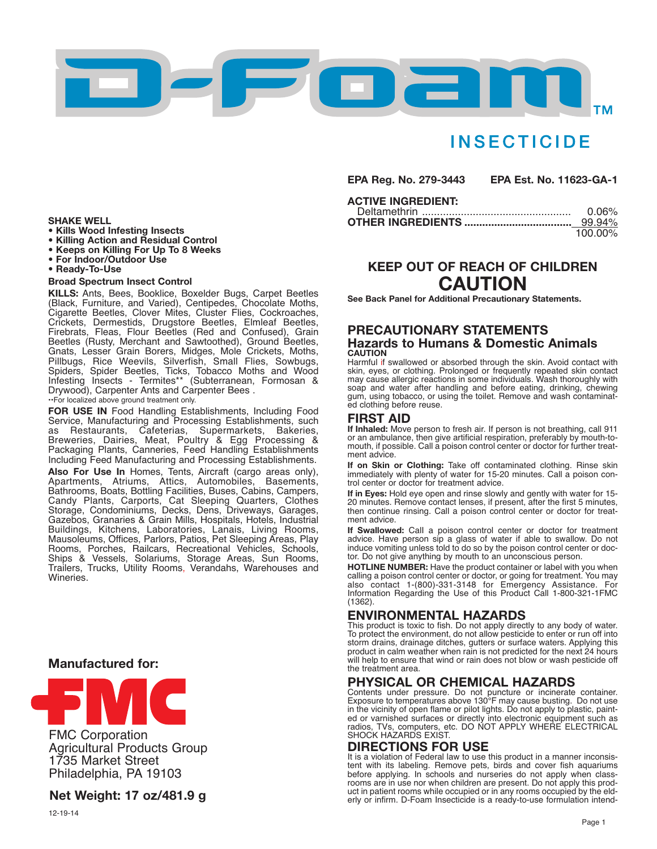

# **INSECTICIDE**

**EPA Reg. No. 279-3443 EPA Est. No. 11623-GA-1**

### **ACTIVE INGREDIENT:**

| 0.06%   |
|---------|
| 99.94%  |
| 100.00% |

# **KEEP OUT OF REACH OF CHILDREN CAUTION**

**See Back Panel for Additional Precautionary Statements.**

### **PRECAUTIONARY STATEMENTS Hazards to Humans & Domestic Animals CAUTION**

Harmful if swallowed or absorbed through the skin. Avoid contact with skin, eyes, or clothing. Prolonged or frequently repeated skin contact may cause allergic reactions in some individuals. Wash thoroughly with soap and water after handling and before eating, drinking, chewing gum, using tobacco, or using the toilet. Remove and wash contaminated clothing before reuse.

## **FIRST AID**

**If Inhaled:** Move person to fresh air. If person is not breathing, call 911 or an ambulance, then give artificial respiration, preferably by mouth-tomouth, if possible. Call a poison control center or doctor for further treatment advice.

**If on Skin or Clothing:** Take off contaminated clothing. Rinse skin immediately with plenty of water for 15-20 minutes. Call a poison control center or doctor for treatment advice.

**If in Eyes:** Hold eye open and rinse slowly and gently with water for 15- 20 minutes. Remove contact lenses, if present, after the first 5 minutes, then continue rinsing. Call a poison control center or doctor for treatment advice.

**If Swallowed:** CalI a poison control center or doctor for treatment advice. Have person sip a glass of water if able to swallow. Do not induce vomiting unless told to do so by the poison control center or doctor. Do not give anything by mouth to an unconscious person.

**HOTLINE NUMBER:** Have the product container or label with you when calling a poison control center or doctor, or going for treatment. You may also contact 1-(800)-331-3148 for Emergency Assistance. For Information Regarding the Use of this Product Call 1-800-321-1FMC (1362).

## **ENVIRONMENTAL HAZARDS**

This product is toxic to fish. Do not apply directly to any body of water. To protect the environment, do not allow pesticide to enter or run off into storm drains, drainage ditches, gutters or surface waters. Applying this product in calm weather when rain is not predicted for the next 24 hours will help to ensure that wind or rain does not blow or wash pesticide off the treatment area.

## **PHYSICAL OR CHEMICAL HAZARDS**

Contents under pressure. Do not puncture or incinerate container. Exposure to temperatures above 130°F may cause busting. Do not use in the vicinity of open flame or pilot lights. Do not apply to plastic, painted or varnished surfaces or directly into electronic equipment such as radios, TVs, computers, etc. DO NOT APPLY WHERE ELECTRICAL SHOCK HAZARDS EXIST.

## **DIRECTIONS FOR USE**

It is a violation of Federal law to use this product in a manner inconsistent with its labeling. Remove pets, birds and cover fish aquariums before applying. In schools and nurseries do not apply when classrooms are in use nor when children are present. Do not apply this product in patient rooms while occupied or in any rooms occupied by the elderly or infirm. D-Foam Insecticide is a ready-to-use formulation intend-

- 
- SHAKE WELL<br>
Kills Wood Infesting Insects<br>
Killing Action and Residual Control<br>
Keeps on Killing For Up To 8 Weeks<br>
For Indoor/Outdoor Use<br>
Ready-To-Use
- 
- 

### **Broad Spectrum Insect Control**

**KILLS:** Ants, Bees, Booklice, Boxelder Bugs, Carpet Beetles (Black, Furniture, and Varied), Centipedes, Chocolate Moths, Cigarette Beetles, Clover Mites, Cluster Flies, Cockroaches, Crickets, Dermestids, Drugstore Beetles, Elmleaf Beetles, Firebrats, Fleas, Flour Beetles (Red and Confused), Grain Beetles (Rusty, Merchant and Sawtoothed), Ground Beetles, Gnats, Lesser Grain Borers, Midges, Mole Crickets, Moths, Pillbugs, Rice Weevils, Silverfish, Small Flies, Sowbugs, Spiders, Spider Beetles, Ticks, Tobacco Moths and Wood Infesting Insects - Termites\*\* (Subterranean, Formosan & Drywood), Carpenter Ants and Carpenter Bees .

••For localized above ground treatment only.

**FOR USE IN** Food Handling Establishments, Including Food Service, Manufacturing and Processing Establishments, such as Restaurants, Cafeterias, Supermarkets, Bakeries,<br>Breweries, Dairies, Meat, Poultry & Egg Processing & Packaging Plants, Canneries, Feed Handling Establishments Including Feed Manufacturing and Processing Establishments.

**Also For Use In** Homes, Tents, Aircraft (cargo areas only), Apartments, Atriums, Attics, Automobiles, Basements, Bathrooms, Boats, Bottling Facilities, Buses, Cabins, Campers, Candy Plants, Carports, Cat Sleeping Quarters, Clothes Storage, Condominiums, Decks, Dens, Driveways, Garages, Gazebos, Granaries & Grain Mills, Hospitals, Hotels, Industrial Buildings, Kitchens, Laboratories, Lanais, Living Rooms, Mausoleums, Offices, Parlors, Patios, Pet Sleeping Areas, Play Rooms, Porches, Railcars, Recreational Vehicles, Schools, Ships & Vessels, Solariums, Storage Areas, Sun Rooms, Trailers, Trucks, Utility Rooms, Verandahs, Warehouses and Wineries.

## **Manufactured for:**



FMC Corporation Agricultural Products Group 1735 Market Street Philadelphia, PA 19103

## **Net Weight: 17 oz/481.9 g**